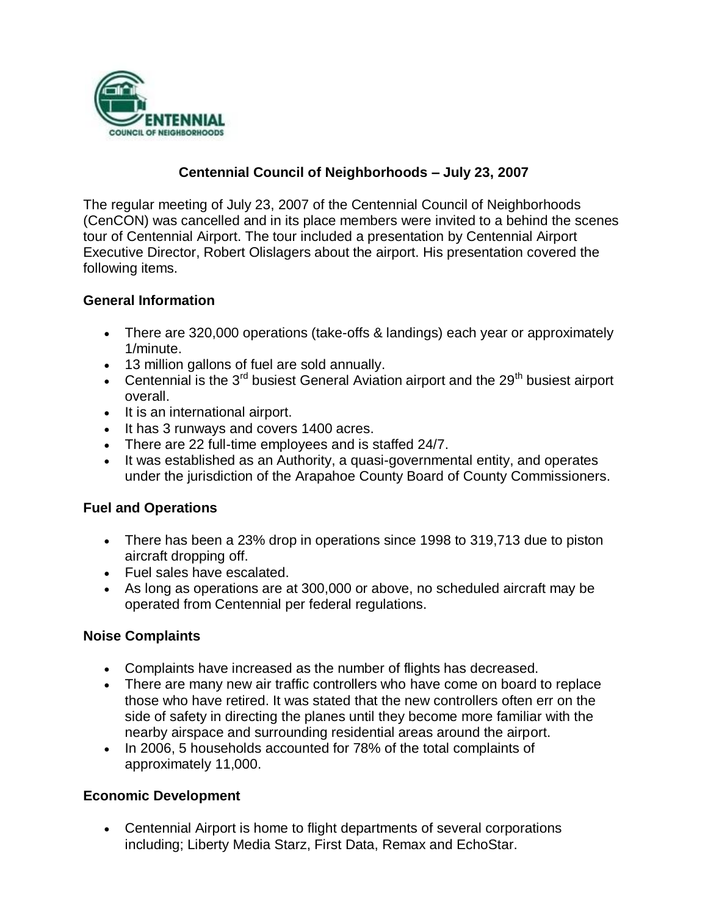

# **Centennial Council of Neighborhoods – July 23, 2007**

The regular meeting of July 23, 2007 of the Centennial Council of Neighborhoods (CenCON) was cancelled and in its place members were invited to a behind the scenes tour of Centennial Airport. The tour included a presentation by Centennial Airport Executive Director, Robert Olislagers about the airport. His presentation covered the following items.

### **General Information**

- There are 320,000 operations (take-offs & landings) each year or approximately 1/minute.
- 13 million gallons of fuel are sold annually.
- Centennial is the  $3^{rd}$  busiest General Aviation airport and the  $29^{th}$  busiest airport overall.
- It is an international airport.
- It has 3 runways and covers 1400 acres.
- There are 22 full-time employees and is staffed 24/7.
- It was established as an Authority, a quasi-governmental entity, and operates under the jurisdiction of the Arapahoe County Board of County Commissioners.

#### **Fuel and Operations**

- There has been a 23% drop in operations since 1998 to 319,713 due to piston aircraft dropping off.
- Fuel sales have escalated.
- As long as operations are at 300,000 or above, no scheduled aircraft may be operated from Centennial per federal regulations.

#### **Noise Complaints**

- Complaints have increased as the number of flights has decreased.
- There are many new air traffic controllers who have come on board to replace those who have retired. It was stated that the new controllers often err on the side of safety in directing the planes until they become more familiar with the nearby airspace and surrounding residential areas around the airport.
- In 2006, 5 households accounted for 78% of the total complaints of approximately 11,000.

## **Economic Development**

 Centennial Airport is home to flight departments of several corporations including; Liberty Media Starz, First Data, Remax and EchoStar.